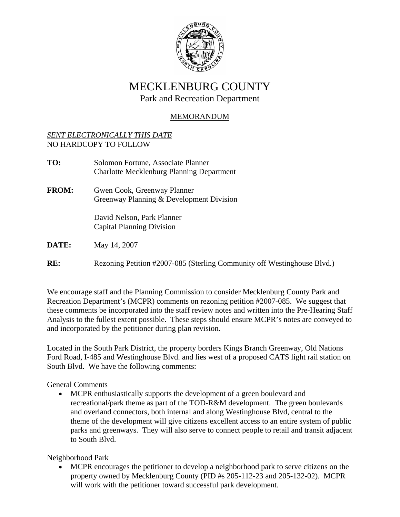

# MECKLENBURG COUNTY

Park and Recreation Department

## MEMORANDUM

## *SENT ELECTRONICALLY THIS DATE* NO HARDCOPY TO FOLLOW

| TO:          | Solomon Fortune, Associate Planner<br><b>Charlotte Mecklenburg Planning Department</b> |
|--------------|----------------------------------------------------------------------------------------|
| <b>FROM:</b> | Gwen Cook, Greenway Planner<br>Greenway Planning & Development Division                |
|              | David Nelson, Park Planner<br><b>Capital Planning Division</b>                         |
| <b>DATE:</b> | May 14, 2007                                                                           |

**RE:** Rezoning Petition #2007-085 (Sterling Community off Westinghouse Blvd.)

We encourage staff and the Planning Commission to consider Mecklenburg County Park and Recreation Department's (MCPR) comments on rezoning petition #2007-085. We suggest that these comments be incorporated into the staff review notes and written into the Pre-Hearing Staff Analysis to the fullest extent possible. These steps should ensure MCPR's notes are conveyed to and incorporated by the petitioner during plan revision.

Located in the South Park District, the property borders Kings Branch Greenway, Old Nations Ford Road, I-485 and Westinghouse Blvd. and lies west of a proposed CATS light rail station on South Blvd. We have the following comments:

General Comments

• MCPR enthusiastically supports the development of a green boulevard and recreational/park theme as part of the TOD-R&M development. The green boulevards and overland connectors, both internal and along Westinghouse Blvd, central to the theme of the development will give citizens excellent access to an entire system of public parks and greenways. They will also serve to connect people to retail and transit adjacent to South Blvd.

Neighborhood Park

• MCPR encourages the petitioner to develop a neighborhood park to serve citizens on the property owned by Mecklenburg County (PID #s 205-112-23 and 205-132-02). MCPR will work with the petitioner toward successful park development.